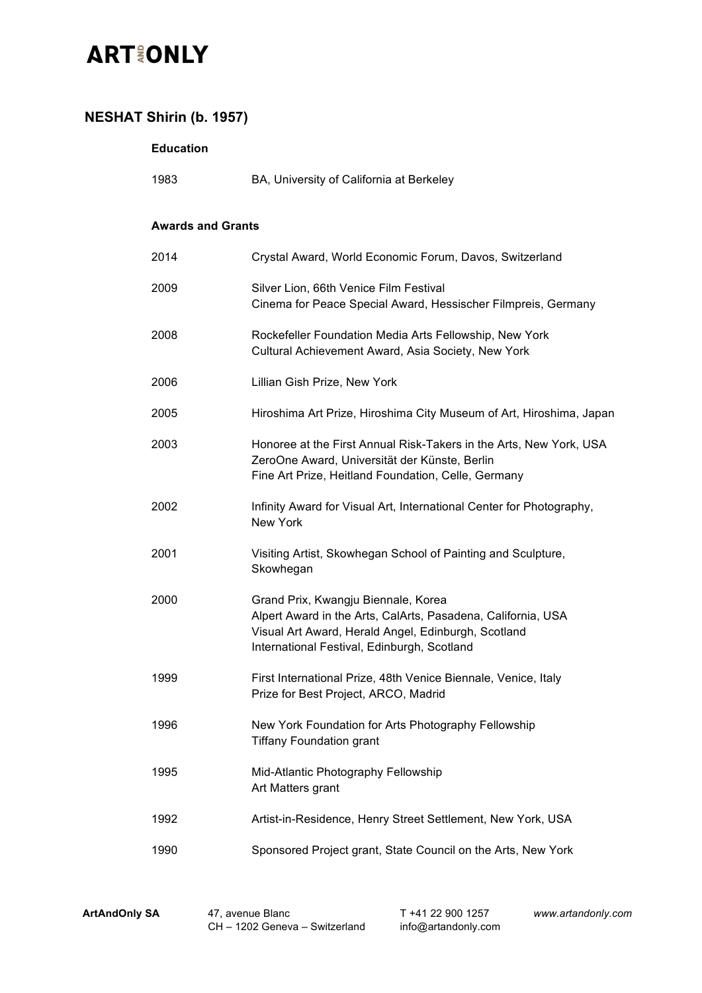#### **NESHAT Shirin (b. 1957)**

#### **Education**

| 1983                     | BA, University of California at Berkeley                                                                                                                                                                  |
|--------------------------|-----------------------------------------------------------------------------------------------------------------------------------------------------------------------------------------------------------|
| <b>Awards and Grants</b> |                                                                                                                                                                                                           |
| 2014                     | Crystal Award, World Economic Forum, Davos, Switzerland                                                                                                                                                   |
| 2009                     | Silver Lion, 66th Venice Film Festival<br>Cinema for Peace Special Award, Hessischer Filmpreis, Germany                                                                                                   |
| 2008                     | Rockefeller Foundation Media Arts Fellowship, New York<br>Cultural Achievement Award, Asia Society, New York                                                                                              |
| 2006                     | Lillian Gish Prize, New York                                                                                                                                                                              |
| 2005                     | Hiroshima Art Prize, Hiroshima City Museum of Art, Hiroshima, Japan                                                                                                                                       |
| 2003                     | Honoree at the First Annual Risk-Takers in the Arts, New York, USA<br>ZeroOne Award, Universität der Künste, Berlin<br>Fine Art Prize, Heitland Foundation, Celle, Germany                                |
| 2002                     | Infinity Award for Visual Art, International Center for Photography,<br>New York                                                                                                                          |
| 2001                     | Visiting Artist, Skowhegan School of Painting and Sculpture,<br>Skowhegan                                                                                                                                 |
| 2000                     | Grand Prix, Kwangju Biennale, Korea<br>Alpert Award in the Arts, CalArts, Pasadena, California, USA<br>Visual Art Award, Herald Angel, Edinburgh, Scotland<br>International Festival, Edinburgh, Scotland |
| 1999                     | First International Prize, 48th Venice Biennale, Venice, Italy<br>Prize for Best Project, ARCO, Madrid                                                                                                    |
| 1996                     | New York Foundation for Arts Photography Fellowship<br><b>Tiffany Foundation grant</b>                                                                                                                    |
| 1995                     | Mid-Atlantic Photography Fellowship<br>Art Matters grant                                                                                                                                                  |
| 1992                     | Artist-in-Residence, Henry Street Settlement, New York, USA                                                                                                                                               |
| 1990                     | Sponsored Project grant, State Council on the Arts, New York                                                                                                                                              |
|                          |                                                                                                                                                                                                           |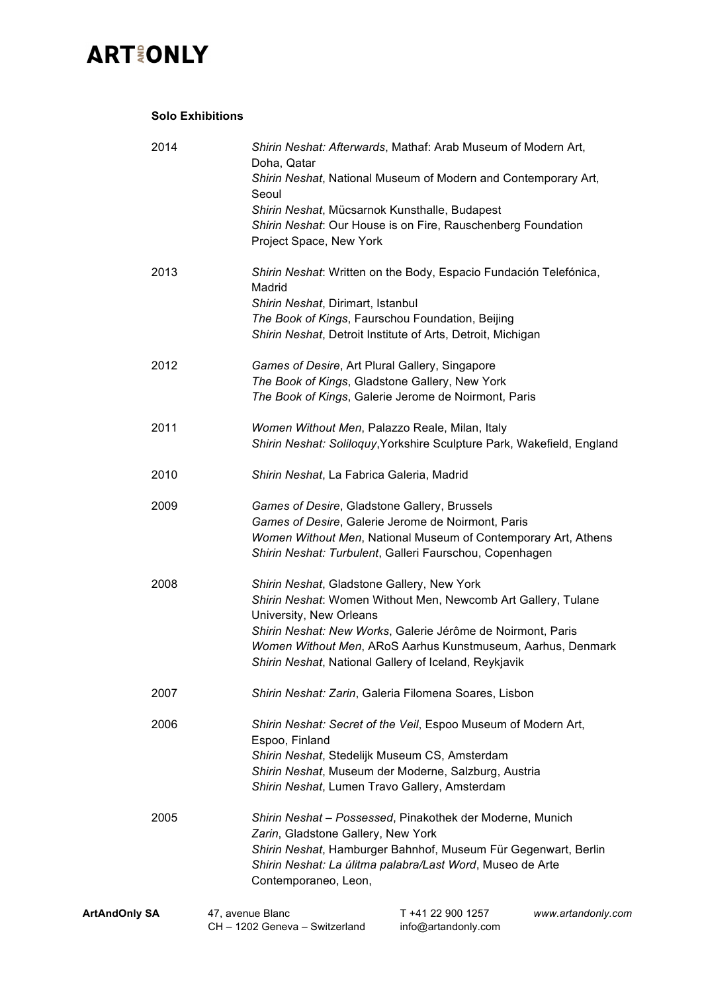#### **Solo Exhibitions**

| 2014                 | Doha, Qatar<br>Seoul                                                                                                                                                                                                                       | Shirin Neshat: Afterwards, Mathaf: Arab Museum of Modern Art,<br>Shirin Neshat, National Museum of Modern and Contemporary Art,                                                                                                                                                                    |                    |
|----------------------|--------------------------------------------------------------------------------------------------------------------------------------------------------------------------------------------------------------------------------------------|----------------------------------------------------------------------------------------------------------------------------------------------------------------------------------------------------------------------------------------------------------------------------------------------------|--------------------|
|                      | Shirin Neshat, Mücsarnok Kunsthalle, Budapest<br>Project Space, New York                                                                                                                                                                   | Shirin Neshat: Our House is on Fire, Rauschenberg Foundation                                                                                                                                                                                                                                       |                    |
| 2013                 | Madrid<br>Shirin Neshat, Dirimart, Istanbul                                                                                                                                                                                                | Shirin Neshat: Written on the Body, Espacio Fundación Telefónica,<br>The Book of Kings, Faurschou Foundation, Beijing<br>Shirin Neshat, Detroit Institute of Arts, Detroit, Michigan                                                                                                               |                    |
| 2012                 | Games of Desire, Art Plural Gallery, Singapore<br>The Book of Kings, Gladstone Gallery, New York                                                                                                                                           | The Book of Kings, Galerie Jerome de Noirmont, Paris                                                                                                                                                                                                                                               |                    |
| 2011                 | Women Without Men, Palazzo Reale, Milan, Italy                                                                                                                                                                                             | Shirin Neshat: Soliloquy, Yorkshire Sculpture Park, Wakefield, England                                                                                                                                                                                                                             |                    |
| 2010                 | Shirin Neshat, La Fabrica Galeria, Madrid                                                                                                                                                                                                  |                                                                                                                                                                                                                                                                                                    |                    |
| 2009                 | Games of Desire, Gladstone Gallery, Brussels<br>Games of Desire, Galerie Jerome de Noirmont, Paris<br>Women Without Men, National Museum of Contemporary Art, Athens<br>Shirin Neshat: Turbulent, Galleri Faurschou, Copenhagen            |                                                                                                                                                                                                                                                                                                    |                    |
| 2008                 | University, New Orleans                                                                                                                                                                                                                    | Shirin Neshat, Gladstone Gallery, New York<br>Shirin Neshat: Women Without Men, Newcomb Art Gallery, Tulane<br>Shirin Neshat: New Works, Galerie Jérôme de Noirmont, Paris<br>Women Without Men, ARoS Aarhus Kunstmuseum, Aarhus, Denmark<br>Shirin Neshat, National Gallery of Iceland, Reykjavik |                    |
| 2007                 |                                                                                                                                                                                                                                            | Shirin Neshat: Zarin, Galeria Filomena Soares, Lisbon                                                                                                                                                                                                                                              |                    |
| 2006                 | Shirin Neshat: Secret of the Veil, Espoo Museum of Modern Art,<br>Espoo, Finland<br>Shirin Neshat, Stedelijk Museum CS, Amsterdam<br>Shirin Neshat, Museum der Moderne, Salzburg, Austria<br>Shirin Neshat, Lumen Travo Gallery, Amsterdam |                                                                                                                                                                                                                                                                                                    |                    |
| 2005                 | Zarin, Gladstone Gallery, New York<br>Contemporaneo, Leon,                                                                                                                                                                                 | Shirin Neshat - Possessed, Pinakothek der Moderne, Munich<br>Shirin Neshat, Hamburger Bahnhof, Museum Für Gegenwart, Berlin<br>Shirin Neshat: La úlitma palabra/Last Word, Museo de Arte                                                                                                           |                    |
| <b>ArtAndOnly SA</b> | 47, avenue Blanc<br>CH - 1202 Geneva - Switzerland                                                                                                                                                                                         | T +41 22 900 1257<br>info@artandonly.com                                                                                                                                                                                                                                                           | www.artandonly.com |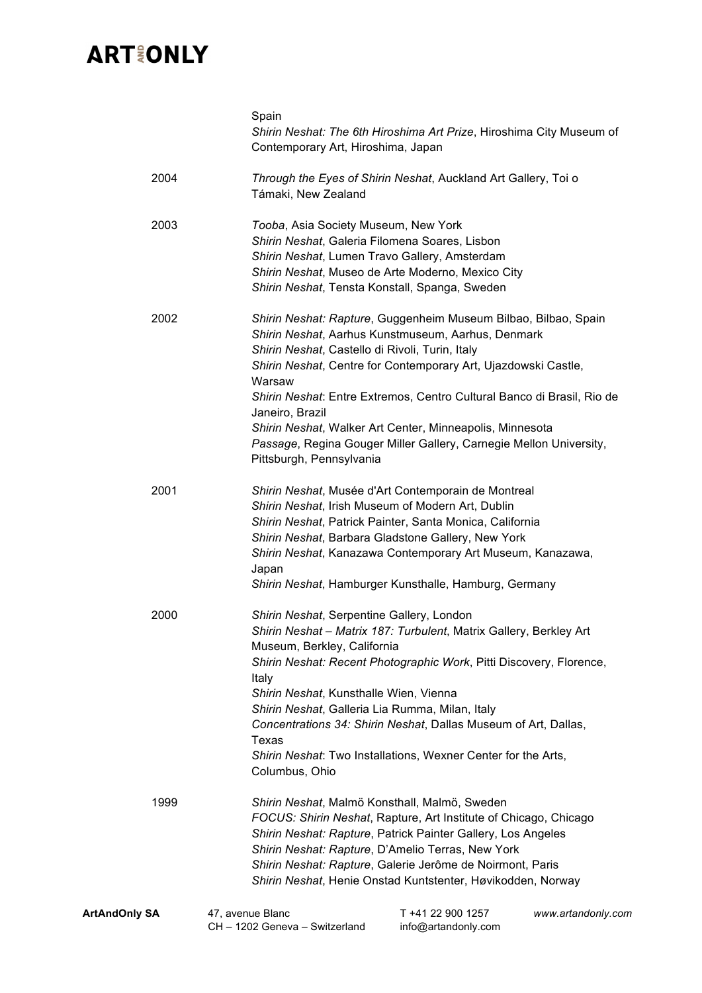|                      | Spain<br>Shirin Neshat: The 6th Hiroshima Art Prize, Hiroshima City Museum of<br>Contemporary Art, Hiroshima, Japan                                                                                                                                                                                                                                                                                                                                                                                             |
|----------------------|-----------------------------------------------------------------------------------------------------------------------------------------------------------------------------------------------------------------------------------------------------------------------------------------------------------------------------------------------------------------------------------------------------------------------------------------------------------------------------------------------------------------|
| 2004                 | Through the Eyes of Shirin Neshat, Auckland Art Gallery, Toi o<br>Támaki, New Zealand                                                                                                                                                                                                                                                                                                                                                                                                                           |
| 2003                 | Tooba, Asia Society Museum, New York<br>Shirin Neshat, Galeria Filomena Soares, Lisbon<br>Shirin Neshat, Lumen Travo Gallery, Amsterdam<br>Shirin Neshat, Museo de Arte Moderno, Mexico City<br>Shirin Neshat, Tensta Konstall, Spanga, Sweden                                                                                                                                                                                                                                                                  |
| 2002                 | Shirin Neshat: Rapture, Guggenheim Museum Bilbao, Bilbao, Spain<br>Shirin Neshat, Aarhus Kunstmuseum, Aarhus, Denmark<br>Shirin Neshat, Castello di Rivoli, Turin, Italy<br>Shirin Neshat, Centre for Contemporary Art, Ujazdowski Castle,<br>Warsaw<br>Shirin Neshat: Entre Extremos, Centro Cultural Banco di Brasil, Rio de<br>Janeiro, Brazil<br>Shirin Neshat, Walker Art Center, Minneapolis, Minnesota<br>Passage, Regina Gouger Miller Gallery, Carnegie Mellon University,<br>Pittsburgh, Pennsylvania |
| 2001                 | Shirin Neshat, Musée d'Art Contemporain de Montreal<br>Shirin Neshat, Irish Museum of Modern Art, Dublin<br>Shirin Neshat, Patrick Painter, Santa Monica, California<br>Shirin Neshat, Barbara Gladstone Gallery, New York<br>Shirin Neshat, Kanazawa Contemporary Art Museum, Kanazawa,<br>Japan<br>Shirin Neshat, Hamburger Kunsthalle, Hamburg, Germany                                                                                                                                                      |
| 2000                 | Shirin Neshat, Serpentine Gallery, London<br>Shirin Neshat - Matrix 187: Turbulent, Matrix Gallery, Berkley Art<br>Museum, Berkley, California<br>Shirin Neshat: Recent Photographic Work, Pitti Discovery, Florence,<br>Italy<br>Shirin Neshat, Kunsthalle Wien, Vienna<br>Shirin Neshat, Galleria Lia Rumma, Milan, Italy<br>Concentrations 34: Shirin Neshat, Dallas Museum of Art, Dallas,<br>Texas<br>Shirin Neshat: Two Installations, Wexner Center for the Arts,<br>Columbus, Ohio                      |
| 1999                 | Shirin Neshat, Malmö Konsthall, Malmö, Sweden<br>FOCUS: Shirin Neshat, Rapture, Art Institute of Chicago, Chicago<br>Shirin Neshat: Rapture, Patrick Painter Gallery, Los Angeles<br>Shirin Neshat: Rapture, D'Amelio Terras, New York<br>Shirin Neshat: Rapture, Galerie Jerôme de Noirmont, Paris<br>Shirin Neshat, Henie Onstad Kuntstenter, Høvikodden, Norway                                                                                                                                              |
| <b>ArtAndOnly SA</b> | T +41 22 900 1257<br>47, avenue Blanc<br>www.artandonly.com<br>CH - 1202 Geneva - Switzerland<br>info@artandonly.com                                                                                                                                                                                                                                                                                                                                                                                            |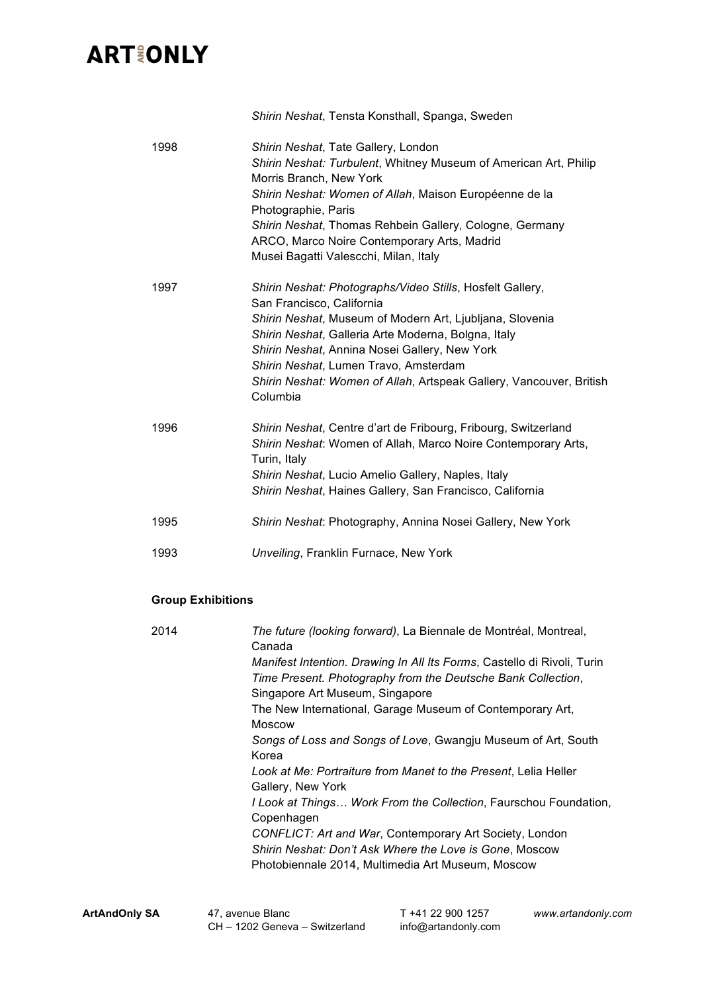|      | Shirin Neshat, Tensta Konsthall, Spanga, Sweden                                                                                                                                                                                                                                                                                                                                        |
|------|----------------------------------------------------------------------------------------------------------------------------------------------------------------------------------------------------------------------------------------------------------------------------------------------------------------------------------------------------------------------------------------|
| 1998 | Shirin Neshat, Tate Gallery, London<br>Shirin Neshat: Turbulent, Whitney Museum of American Art, Philip<br>Morris Branch, New York<br>Shirin Neshat: Women of Allah, Maison Européenne de la<br>Photographie, Paris<br>Shirin Neshat, Thomas Rehbein Gallery, Cologne, Germany<br>ARCO, Marco Noire Contemporary Arts, Madrid<br>Musei Bagatti Valescchi, Milan, Italy                 |
| 1997 | Shirin Neshat: Photographs/Video Stills, Hosfelt Gallery,<br>San Francisco, California<br>Shirin Neshat, Museum of Modern Art, Ljubljana, Slovenia<br>Shirin Neshat, Galleria Arte Moderna, Bolgna, Italy<br>Shirin Neshat, Annina Nosei Gallery, New York<br>Shirin Neshat, Lumen Travo, Amsterdam<br>Shirin Neshat: Women of Allah, Artspeak Gallery, Vancouver, British<br>Columbia |
| 1996 | Shirin Neshat, Centre d'art de Fribourg, Fribourg, Switzerland<br>Shirin Neshat: Women of Allah, Marco Noire Contemporary Arts,<br>Turin, Italy<br>Shirin Neshat, Lucio Amelio Gallery, Naples, Italy<br>Shirin Neshat, Haines Gallery, San Francisco, California                                                                                                                      |
| 1995 | Shirin Neshat: Photography, Annina Nosei Gallery, New York                                                                                                                                                                                                                                                                                                                             |
| 1993 | Unveiling, Franklin Furnace, New York                                                                                                                                                                                                                                                                                                                                                  |

#### **Group Exhibitions**

| 2014 | The future (looking forward), La Biennale de Montréal, Montreal,<br>Canada                                                                                                 |
|------|----------------------------------------------------------------------------------------------------------------------------------------------------------------------------|
|      | Manifest Intention. Drawing In All Its Forms, Castello di Rivoli, Turin<br>Time Present. Photography from the Deutsche Bank Collection,<br>Singapore Art Museum, Singapore |
|      | The New International, Garage Museum of Contemporary Art,<br><b>Moscow</b>                                                                                                 |
|      | Songs of Loss and Songs of Love, Gwangju Museum of Art, South<br>Korea                                                                                                     |
|      | Look at Me: Portraiture from Manet to the Present, Lelia Heller<br>Gallery, New York                                                                                       |
|      | I Look at Things Work From the Collection, Faurschou Foundation,<br>Copenhagen                                                                                             |
|      | CONFLICT: Art and War, Contemporary Art Society, London<br>Shirin Neshat: Don't Ask Where the Love is Gone, Moscow                                                         |
|      | Photobiennale 2014, Multimedia Art Museum, Moscow                                                                                                                          |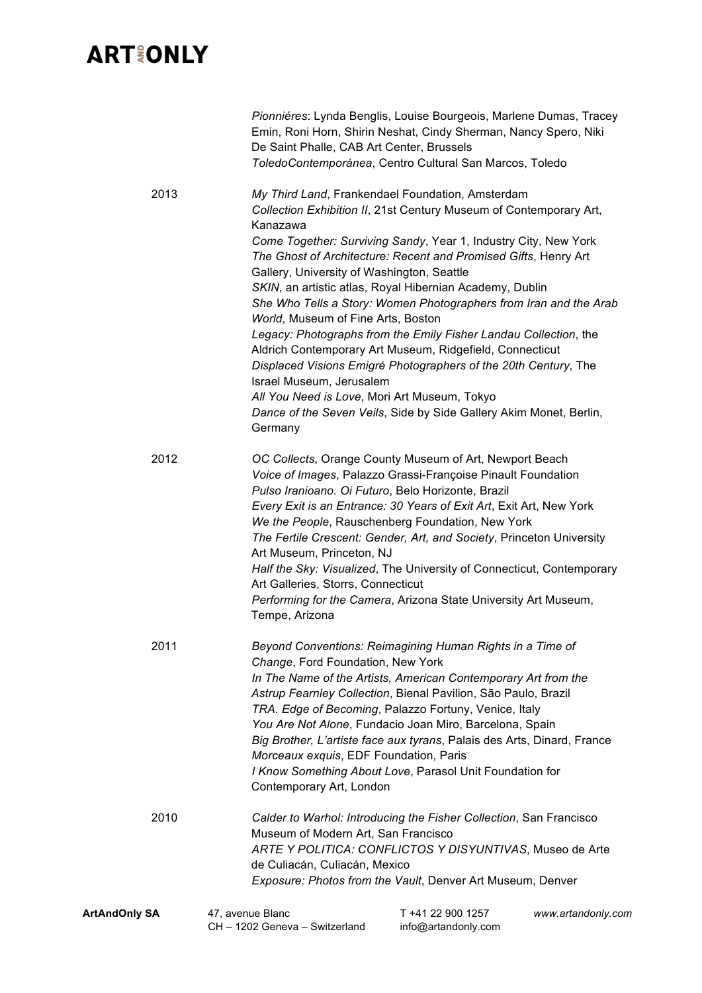|                      | Pionniéres: Lynda Benglis, Louise Bourgeois, Marlene Dumas, Tracey<br>Emin, Roni Horn, Shirin Neshat, Cindy Sherman, Nancy Spero, Niki<br>De Saint Phalle, CAB Art Center, Brussels<br>ToledoContemporánea, Centro Cultural San Marcos, Toledo                                                                                                                                                                                                                                                                                                                                                                                                                                                                                                                                                                                                                |                                                                |
|----------------------|---------------------------------------------------------------------------------------------------------------------------------------------------------------------------------------------------------------------------------------------------------------------------------------------------------------------------------------------------------------------------------------------------------------------------------------------------------------------------------------------------------------------------------------------------------------------------------------------------------------------------------------------------------------------------------------------------------------------------------------------------------------------------------------------------------------------------------------------------------------|----------------------------------------------------------------|
| 2013                 | My Third Land, Frankendael Foundation, Amsterdam<br>Collection Exhibition II, 21st Century Museum of Contemporary Art,<br>Kanazawa<br>Come Together: Surviving Sandy, Year 1, Industry City, New York<br>The Ghost of Architecture: Recent and Promised Gifts, Henry Art<br>Gallery, University of Washington, Seattle<br>SKIN, an artistic atlas, Royal Hibernian Academy, Dublin<br>She Who Tells a Story: Women Photographers from Iran and the Arab<br>World, Museum of Fine Arts, Boston<br>Legacy: Photographs from the Emily Fisher Landau Collection, the<br>Aldrich Contemporary Art Museum, Ridgefield, Connecticut<br>Displaced Visions Emigré Photographers of the 20th Century, The<br>Israel Museum, Jerusalem<br>All You Need is Love, Mori Art Museum, Tokyo<br>Dance of the Seven Veils, Side by Side Gallery Akim Monet, Berlin,<br>Germany |                                                                |
| 2012                 | OC Collects, Orange County Museum of Art, Newport Beach<br>Voice of Images, Palazzo Grassi-Françoise Pinault Foundation<br>Pulso Iranioano. Oi Futuro, Belo Horizonte, Brazil<br>Every Exit is an Entrance: 30 Years of Exit Art, Exit Art, New York<br>We the People, Rauschenberg Foundation, New York<br>The Fertile Crescent: Gender, Art, and Society, Princeton University<br>Art Museum, Princeton, NJ<br>Half the Sky: Visualized, The University of Connecticut, Contemporary<br>Art Galleries, Storrs, Connecticut<br>Performing for the Camera, Arizona State University Art Museum,<br>Tempe, Arizona                                                                                                                                                                                                                                             |                                                                |
| 2011                 | Beyond Conventions: Reimagining Human Rights in a Time of<br>Change, Ford Foundation, New York<br>In The Name of the Artists, American Contemporary Art from the<br>Astrup Fearnley Collection, Bienal Pavilion, São Paulo, Brazil<br>TRA. Edge of Becoming, Palazzo Fortuny, Venice, Italy<br>You Are Not Alone, Fundacio Joan Miro, Barcelona, Spain<br>Big Brother, L'artiste face aux tyrans, Palais des Arts, Dinard, France<br>Morceaux exquis, EDF Foundation, Paris<br>I Know Something About Love, Parasol Unit Foundation for<br>Contemporary Art, London                                                                                                                                                                                                                                                                                           |                                                                |
| 2010                 | Calder to Warhol: Introducing the Fisher Collection, San Francisco<br>Museum of Modern Art, San Francisco<br>ARTE Y POLITICA: CONFLICTOS Y DISYUNTIVAS, Museo de Arte<br>de Culiacán, Culiacán, Mexico<br>Exposure: Photos from the Vault, Denver Art Museum, Denver                                                                                                                                                                                                                                                                                                                                                                                                                                                                                                                                                                                          |                                                                |
| <b>ArtAndOnly SA</b> | 47, avenue Blanc<br>CH - 1202 Geneva - Switzerland                                                                                                                                                                                                                                                                                                                                                                                                                                                                                                                                                                                                                                                                                                                                                                                                            | T +41 22 900 1257<br>www.artandonly.com<br>info@artandonly.com |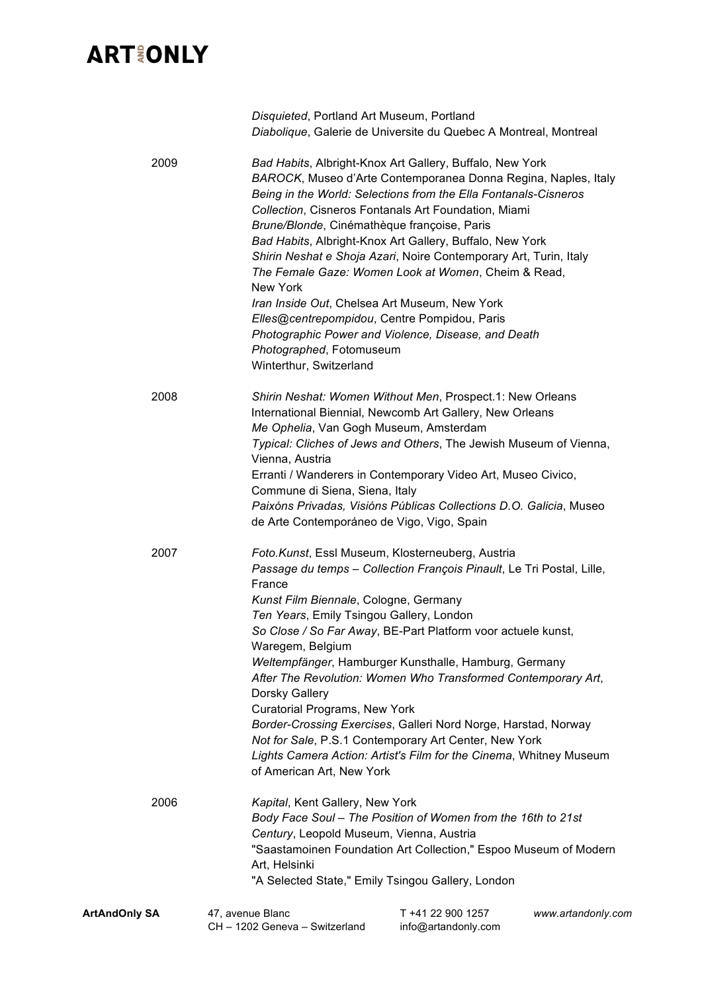| <b>ArtAndOnly SA</b> | 47, avenue Blanc<br>CH - 1202 Geneva - Switzerland                                                                                                                                                              | T +41 22 900 1257<br>info@artandonly.com                                                                                                                                                                                                                                                                                                                                                                                                                                                             | www.artandonly.com |
|----------------------|-----------------------------------------------------------------------------------------------------------------------------------------------------------------------------------------------------------------|------------------------------------------------------------------------------------------------------------------------------------------------------------------------------------------------------------------------------------------------------------------------------------------------------------------------------------------------------------------------------------------------------------------------------------------------------------------------------------------------------|--------------------|
| 2006                 | Kapital, Kent Gallery, New York<br>Century, Leopold Museum, Vienna, Austria<br>Art, Helsinki                                                                                                                    | Body Face Soul - The Position of Women from the 16th to 21st<br>"Saastamoinen Foundation Art Collection," Espoo Museum of Modern<br>"A Selected State," Emily Tsingou Gallery, London                                                                                                                                                                                                                                                                                                                |                    |
|                      | France<br>Kunst Film Biennale, Cologne, Germany<br>Ten Years, Emily Tsingou Gallery, London<br>Waregem, Belgium<br>Dorsky Gallery<br><b>Curatorial Programs, New York</b><br>of American Art, New York          | Passage du temps - Collection François Pinault, Le Tri Postal, Lille,<br>So Close / So Far Away, BE-Part Platform voor actuele kunst,<br>Weltempfänger, Hamburger Kunsthalle, Hamburg, Germany<br>After The Revolution: Women Who Transformed Contemporary Art,<br>Border-Crossing Exercises, Galleri Nord Norge, Harstad, Norway<br>Not for Sale, P.S.1 Contemporary Art Center, New York<br>Lights Camera Action: Artist's Film for the Cinema, Whitney Museum                                     |                    |
| 2008<br>2007         | Me Ophelia, Van Gogh Museum, Amsterdam<br>Vienna, Austria<br>Commune di Siena, Siena, Italy<br>de Arte Contemporáneo de Vigo, Vigo, Spain                                                                       | Shirin Neshat: Women Without Men, Prospect.1: New Orleans<br>International Biennial, Newcomb Art Gallery, New Orleans<br>Typical: Cliches of Jews and Others, The Jewish Museum of Vienna,<br>Erranti / Wanderers in Contemporary Video Art, Museo Civico,<br>Paixóns Privadas, Visións Públicas Collections D.O. Galicia, Museo<br>Foto.Kunst, Essl Museum, Klosterneuberg, Austria                                                                                                                 |                    |
| 2009                 | Brune/Blonde, Cinémathèque françoise, Paris<br>New York<br>Iran Inside Out, Chelsea Art Museum, New York<br>Elles@centrepompidou, Centre Pompidou, Paris<br>Photographed, Fotomuseum<br>Winterthur, Switzerland | Bad Habits, Albright-Knox Art Gallery, Buffalo, New York<br>BAROCK, Museo d'Arte Contemporanea Donna Regina, Naples, Italy<br>Being in the World: Selections from the Ella Fontanals-Cisneros<br>Collection, Cisneros Fontanals Art Foundation, Miami<br>Bad Habits, Albright-Knox Art Gallery, Buffalo, New York<br>Shirin Neshat e Shoja Azari, Noire Contemporary Art, Turin, Italy<br>The Female Gaze: Women Look at Women, Cheim & Read,<br>Photographic Power and Violence, Disease, and Death |                    |
|                      | Disquieted, Portland Art Museum, Portland                                                                                                                                                                       | Diabolique, Galerie de Universite du Quebec A Montreal, Montreal                                                                                                                                                                                                                                                                                                                                                                                                                                     |                    |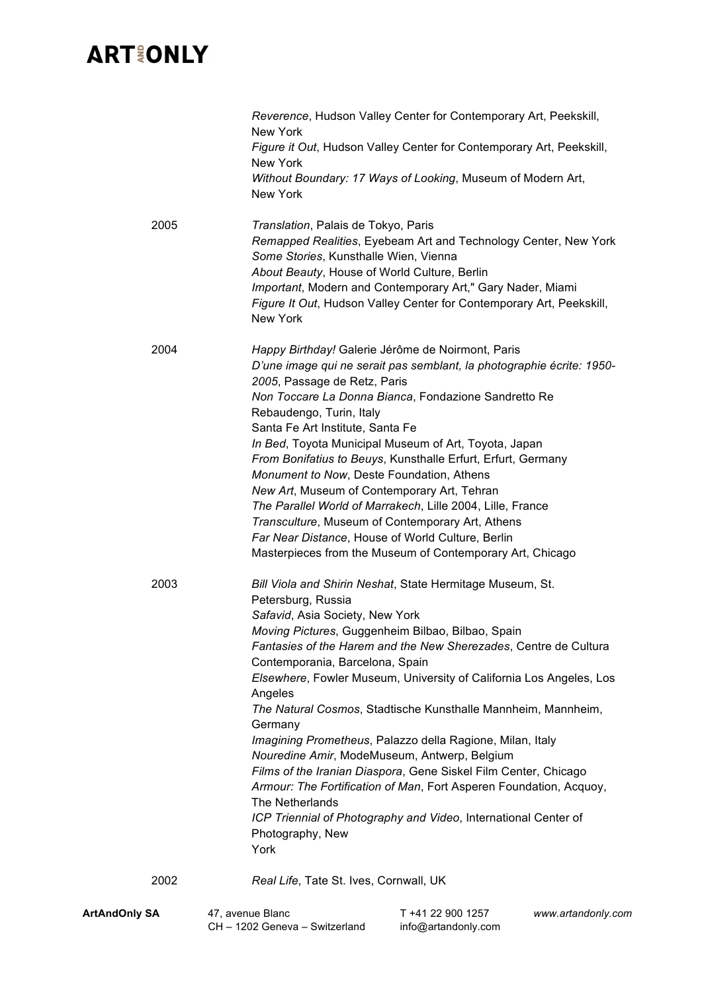|                      | Reverence, Hudson Valley Center for Contemporary Art, Peekskill,<br>New York<br>Figure it Out, Hudson Valley Center for Contemporary Art, Peekskill,<br>New York<br>Without Boundary: 17 Ways of Looking, Museum of Modern Art,<br>New York                                                                                                                                                                                                                                                                                                                                                                                                                                                                                                                                                                          |
|----------------------|----------------------------------------------------------------------------------------------------------------------------------------------------------------------------------------------------------------------------------------------------------------------------------------------------------------------------------------------------------------------------------------------------------------------------------------------------------------------------------------------------------------------------------------------------------------------------------------------------------------------------------------------------------------------------------------------------------------------------------------------------------------------------------------------------------------------|
| 2005                 | Translation, Palais de Tokyo, Paris<br>Remapped Realities, Eyebeam Art and Technology Center, New York<br>Some Stories, Kunsthalle Wien, Vienna<br>About Beauty, House of World Culture, Berlin<br>Important, Modern and Contemporary Art," Gary Nader, Miami<br>Figure It Out, Hudson Valley Center for Contemporary Art, Peekskill,<br>New York                                                                                                                                                                                                                                                                                                                                                                                                                                                                    |
| 2004                 | Happy Birthday! Galerie Jérôme de Noirmont, Paris<br>D'une image qui ne serait pas semblant, la photographie écrite: 1950-<br>2005, Passage de Retz, Paris<br>Non Toccare La Donna Bianca, Fondazione Sandretto Re<br>Rebaudengo, Turin, Italy<br>Santa Fe Art Institute, Santa Fe<br>In Bed, Toyota Municipal Museum of Art, Toyota, Japan<br>From Bonifatius to Beuys, Kunsthalle Erfurt, Erfurt, Germany<br>Monument to Now, Deste Foundation, Athens<br>New Art, Museum of Contemporary Art, Tehran<br>The Parallel World of Marrakech, Lille 2004, Lille, France<br>Transculture, Museum of Contemporary Art, Athens<br>Far Near Distance, House of World Culture, Berlin<br>Masterpieces from the Museum of Contemporary Art, Chicago                                                                          |
| 2003                 | Bill Viola and Shirin Neshat, State Hermitage Museum, St.<br>Petersburg, Russia<br>Safavid, Asia Society, New York<br>Moving Pictures, Guggenheim Bilbao, Bilbao, Spain<br>Fantasies of the Harem and the New Sherezades, Centre de Cultura<br>Contemporania, Barcelona, Spain<br>Elsewhere, Fowler Museum, University of California Los Angeles, Los<br>Angeles<br>The Natural Cosmos, Stadtische Kunsthalle Mannheim, Mannheim,<br>Germany<br>Imagining Prometheus, Palazzo della Ragione, Milan, Italy<br>Nouredine Amir, ModeMuseum, Antwerp, Belgium<br>Films of the Iranian Diaspora, Gene Siskel Film Center, Chicago<br>Armour: The Fortification of Man, Fort Asperen Foundation, Acquoy,<br>The Netherlands<br>ICP Triennial of Photography and Video, International Center of<br>Photography, New<br>York |
| 2002                 | Real Life, Tate St. Ives, Cornwall, UK                                                                                                                                                                                                                                                                                                                                                                                                                                                                                                                                                                                                                                                                                                                                                                               |
| <b>ArtAndOnly SA</b> | 47, avenue Blanc<br>T +41 22 900 1257<br>www.artandonly.com<br>CH - 1202 Geneva - Switzerland<br>info@artandonly.com                                                                                                                                                                                                                                                                                                                                                                                                                                                                                                                                                                                                                                                                                                 |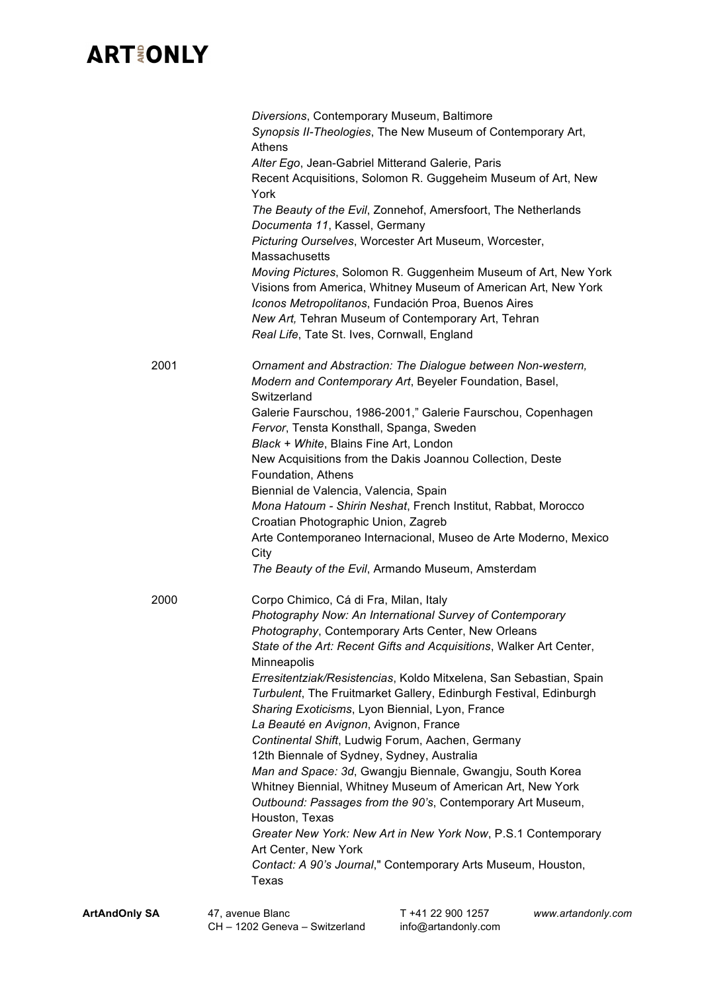|      | Diversions, Contemporary Museum, Baltimore<br>Synopsis II-Theologies, The New Museum of Contemporary Art,<br><b>Athens</b> |
|------|----------------------------------------------------------------------------------------------------------------------------|
|      | Alter Ego, Jean-Gabriel Mitterand Galerie, Paris                                                                           |
|      | Recent Acquisitions, Solomon R. Guggeheim Museum of Art, New                                                               |
|      | York                                                                                                                       |
|      | The Beauty of the Evil, Zonnehof, Amersfoort, The Netherlands                                                              |
|      | Documenta 11, Kassel, Germany                                                                                              |
|      | Picturing Ourselves, Worcester Art Museum, Worcester,                                                                      |
|      | <b>Massachusetts</b>                                                                                                       |
|      | Moving Pictures, Solomon R. Guggenheim Museum of Art, New York                                                             |
|      | Visions from America, Whitney Museum of American Art, New York                                                             |
|      | Iconos Metropolitanos, Fundación Proa, Buenos Aires                                                                        |
|      | New Art, Tehran Museum of Contemporary Art, Tehran                                                                         |
|      | Real Life, Tate St. Ives, Cornwall, England                                                                                |
| 2001 | Ornament and Abstraction: The Dialogue between Non-western,                                                                |
|      | Modern and Contemporary Art, Beyeler Foundation, Basel,                                                                    |
|      | Switzerland                                                                                                                |
|      | Galerie Faurschou, 1986-2001," Galerie Faurschou, Copenhagen                                                               |
|      | Fervor, Tensta Konsthall, Spanga, Sweden                                                                                   |
|      | Black + White, Blains Fine Art, London                                                                                     |
|      | New Acquisitions from the Dakis Joannou Collection, Deste                                                                  |
|      | Foundation, Athens                                                                                                         |
|      | Biennial de Valencia, Valencia, Spain                                                                                      |
|      | Mona Hatoum - Shirin Neshat, French Institut, Rabbat, Morocco                                                              |
|      | Croatian Photographic Union, Zagreb                                                                                        |
|      | Arte Contemporaneo Internacional, Museo de Arte Moderno, Mexico                                                            |
|      | City                                                                                                                       |
|      | The Beauty of the Evil, Armando Museum, Amsterdam                                                                          |
| 2000 | Corpo Chimico, Cá di Fra, Milan, Italy                                                                                     |
|      | Photography Now: An International Survey of Contemporary                                                                   |
|      | Photography, Contemporary Arts Center, New Orleans                                                                         |
|      | State of the Art: Recent Gifts and Acquisitions, Walker Art Center,                                                        |
|      | Minneapolis                                                                                                                |
|      | Erresitentziak/Resistencias, Koldo Mitxelena, San Sebastian, Spain                                                         |
|      | Turbulent, The Fruitmarket Gallery, Edinburgh Festival, Edinburgh                                                          |
|      | Sharing Exoticisms, Lyon Biennial, Lyon, France                                                                            |
|      | La Beauté en Avignon, Avignon, France                                                                                      |
|      | Continental Shift, Ludwig Forum, Aachen, Germany                                                                           |
|      | 12th Biennale of Sydney, Sydney, Australia                                                                                 |
|      | Man and Space: 3d, Gwangju Biennale, Gwangju, South Korea                                                                  |
|      | Whitney Biennial, Whitney Museum of American Art, New York                                                                 |
|      | Outbound: Passages from the 90's, Contemporary Art Museum,                                                                 |
|      | Houston, Texas                                                                                                             |
|      | Greater New York: New Art in New York Now, P.S.1 Contemporary                                                              |
|      | Art Center, New York                                                                                                       |
|      | Contact: A 90's Journal," Contemporary Arts Museum, Houston,                                                               |
|      | Texas                                                                                                                      |
|      | $11.00.000$ $1057$                                                                                                         |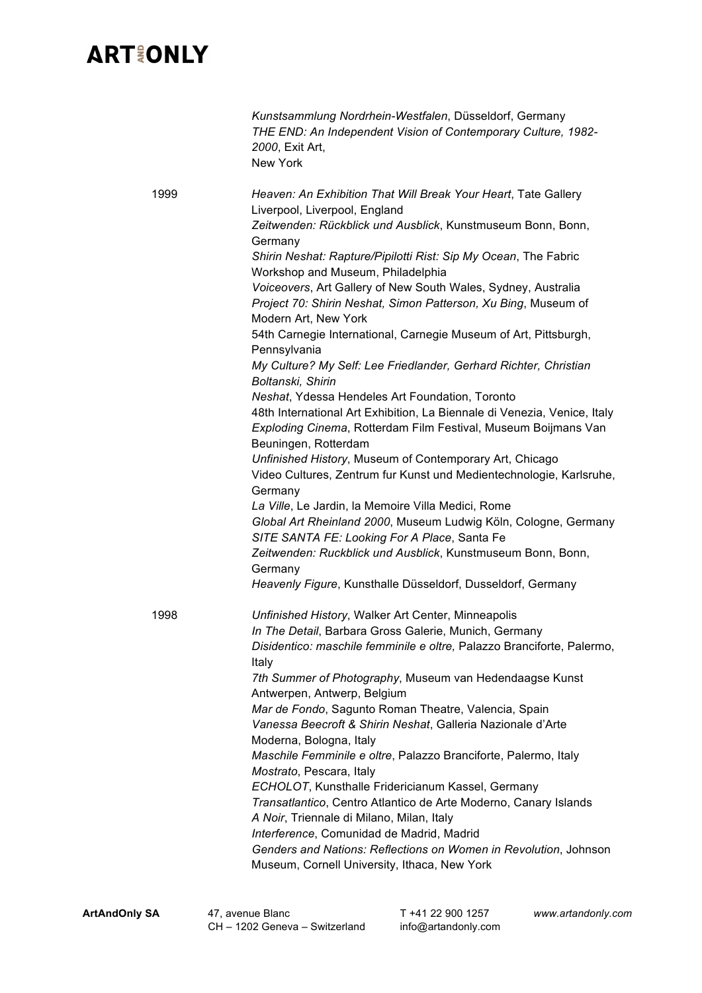|      | Kunstsammlung Nordrhein-Westfalen, Düsseldorf, Germany<br>THE END: An Independent Vision of Contemporary Culture, 1982-<br>2000, Exit Art,<br><b>New York</b>                                                                                                                                                                                                                                                                                                                                                                                                                                                                                                                                                                                                                                                                                                                                                                                                                                                                                                                                                                                                                                                                                                                                                     |
|------|-------------------------------------------------------------------------------------------------------------------------------------------------------------------------------------------------------------------------------------------------------------------------------------------------------------------------------------------------------------------------------------------------------------------------------------------------------------------------------------------------------------------------------------------------------------------------------------------------------------------------------------------------------------------------------------------------------------------------------------------------------------------------------------------------------------------------------------------------------------------------------------------------------------------------------------------------------------------------------------------------------------------------------------------------------------------------------------------------------------------------------------------------------------------------------------------------------------------------------------------------------------------------------------------------------------------|
| 1999 | Heaven: An Exhibition That Will Break Your Heart, Tate Gallery<br>Liverpool, Liverpool, England<br>Zeitwenden: Rückblick und Ausblick, Kunstmuseum Bonn, Bonn,<br>Germany<br>Shirin Neshat: Rapture/Pipilotti Rist: Sip My Ocean, The Fabric<br>Workshop and Museum, Philadelphia<br>Voiceovers, Art Gallery of New South Wales, Sydney, Australia<br>Project 70: Shirin Neshat, Simon Patterson, Xu Bing, Museum of<br>Modern Art, New York<br>54th Carnegie International, Carnegie Museum of Art, Pittsburgh,<br>Pennsylvania<br>My Culture? My Self: Lee Friedlander, Gerhard Richter, Christian<br>Boltanski, Shirin<br>Neshat, Ydessa Hendeles Art Foundation, Toronto<br>48th International Art Exhibition, La Biennale di Venezia, Venice, Italy<br>Exploding Cinema, Rotterdam Film Festival, Museum Boijmans Van<br>Beuningen, Rotterdam<br>Unfinished History, Museum of Contemporary Art, Chicago<br>Video Cultures, Zentrum fur Kunst und Medientechnologie, Karlsruhe,<br>Germany<br>La Ville, Le Jardin, la Memoire Villa Medici, Rome<br>Global Art Rheinland 2000, Museum Ludwig Köln, Cologne, Germany<br>SITE SANTA FE: Looking For A Place, Santa Fe<br>Zeitwenden: Ruckblick und Ausblick, Kunstmuseum Bonn, Bonn,<br>Germany<br>Heavenly Figure, Kunsthalle Düsseldorf, Dusseldorf, Germany |
| 1998 | Unfinished History, Walker Art Center, Minneapolis<br>In The Detail, Barbara Gross Galerie, Munich, Germany<br>Disidentico: maschile femminile e oltre, Palazzo Branciforte, Palermo,<br>Italy<br>7th Summer of Photography, Museum van Hedendaagse Kunst<br>Antwerpen, Antwerp, Belgium<br>Mar de Fondo, Sagunto Roman Theatre, Valencia, Spain<br>Vanessa Beecroft & Shirin Neshat, Galleria Nazionale d'Arte<br>Moderna, Bologna, Italy<br>Maschile Femminile e oltre, Palazzo Branciforte, Palermo, Italy<br>Mostrato, Pescara, Italy<br>ECHOLOT, Kunsthalle Fridericianum Kassel, Germany<br>Transatlantico, Centro Atlantico de Arte Moderno, Canary Islands<br>A Noir, Triennale di Milano, Milan, Italy<br>Interference, Comunidad de Madrid, Madrid<br>Genders and Nations: Reflections on Women in Revolution, Johnson<br>Museum, Cornell University, Ithaca, New York                                                                                                                                                                                                                                                                                                                                                                                                                                  |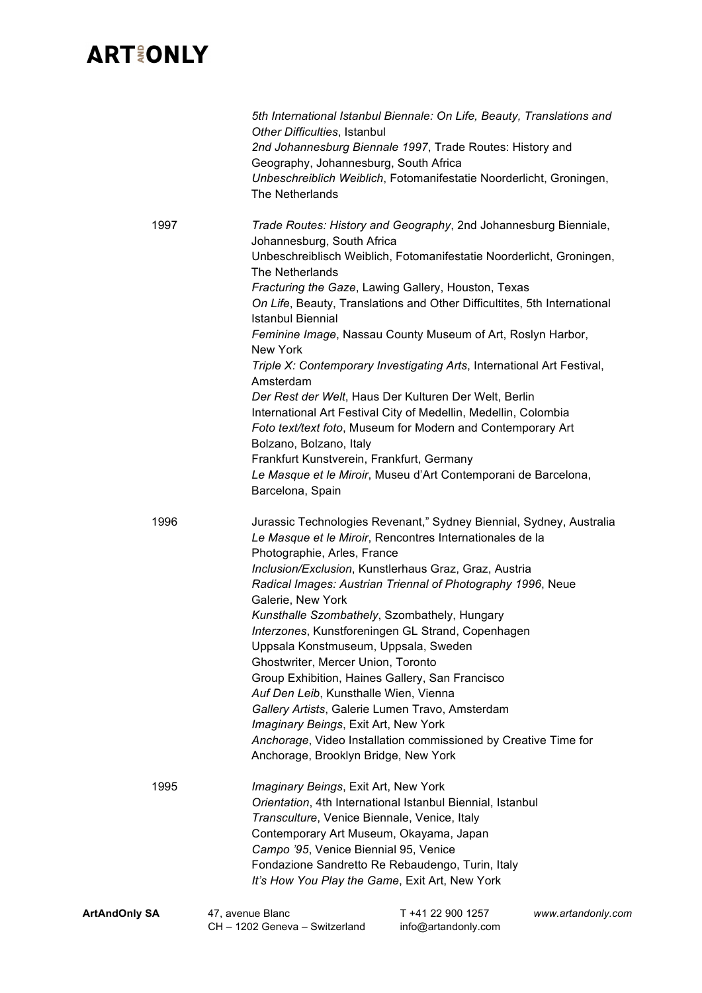|                                                                                                                                                                                                                                                                                                                                                                                                                                                                                                                                                                                                                                                                                                                                                                                                                                                                                             | Other Difficulties, Istanbul<br>Geography, Johannesburg, South Africa<br>The Netherlands                                                                                                                                                                | 5th International Istanbul Biennale: On Life, Beauty, Translations and<br>2nd Johannesburg Biennale 1997, Trade Routes: History and<br>Unbeschreiblich Weiblich, Fotomanifestatie Noorderlicht, Groningen,                                                                                                                                                                                                                                                                                                                            |                    |
|---------------------------------------------------------------------------------------------------------------------------------------------------------------------------------------------------------------------------------------------------------------------------------------------------------------------------------------------------------------------------------------------------------------------------------------------------------------------------------------------------------------------------------------------------------------------------------------------------------------------------------------------------------------------------------------------------------------------------------------------------------------------------------------------------------------------------------------------------------------------------------------------|---------------------------------------------------------------------------------------------------------------------------------------------------------------------------------------------------------------------------------------------------------|---------------------------------------------------------------------------------------------------------------------------------------------------------------------------------------------------------------------------------------------------------------------------------------------------------------------------------------------------------------------------------------------------------------------------------------------------------------------------------------------------------------------------------------|--------------------|
| 1997<br>Trade Routes: History and Geography, 2nd Johannesburg Bienniale,<br>Johannesburg, South Africa<br>Unbeschreiblisch Weiblich, Fotomanifestatie Noorderlicht, Groningen,<br>The Netherlands<br>Fracturing the Gaze, Lawing Gallery, Houston, Texas<br>On Life, Beauty, Translations and Other Difficultites, 5th International<br><b>Istanbul Biennial</b><br>Feminine Image, Nassau County Museum of Art, Roslyn Harbor,<br>New York<br>Triple X: Contemporary Investigating Arts, International Art Festival,<br>Amsterdam<br>Der Rest der Welt, Haus Der Kulturen Der Welt, Berlin<br>International Art Festival City of Medellin, Medellin, Colombia<br>Foto text/text foto, Museum for Modern and Contemporary Art<br>Bolzano, Bolzano, Italy<br>Frankfurt Kunstverein, Frankfurt, Germany<br>Le Masque et le Miroir, Museu d'Art Contemporani de Barcelona,<br>Barcelona, Spain |                                                                                                                                                                                                                                                         |                                                                                                                                                                                                                                                                                                                                                                                                                                                                                                                                       |                    |
| 1996                                                                                                                                                                                                                                                                                                                                                                                                                                                                                                                                                                                                                                                                                                                                                                                                                                                                                        | Photographie, Arles, France<br>Galerie, New York<br>Uppsala Konstmuseum, Uppsala, Sweden<br>Ghostwriter, Mercer Union, Toronto<br>Auf Den Leib, Kunsthalle Wien, Vienna<br>Imaginary Beings, Exit Art, New York<br>Anchorage, Brooklyn Bridge, New York | Jurassic Technologies Revenant," Sydney Biennial, Sydney, Australia<br>Le Masque et le Miroir, Rencontres Internationales de la<br>Inclusion/Exclusion, Kunstlerhaus Graz, Graz, Austria<br>Radical Images: Austrian Triennal of Photography 1996, Neue<br>Kunsthalle Szombathely, Szombathely, Hungary<br>Interzones, Kunstforeningen GL Strand, Copenhagen<br>Group Exhibition, Haines Gallery, San Francisco<br>Gallery Artists, Galerie Lumen Travo, Amsterdam<br>Anchorage, Video Installation commissioned by Creative Time for |                    |
| 1995                                                                                                                                                                                                                                                                                                                                                                                                                                                                                                                                                                                                                                                                                                                                                                                                                                                                                        | Imaginary Beings, Exit Art, New York<br>Transculture, Venice Biennale, Venice, Italy<br>Contemporary Art Museum, Okayama, Japan<br>Campo '95, Venice Biennial 95, Venice                                                                                | Orientation, 4th International Istanbul Biennial, Istanbul<br>Fondazione Sandretto Re Rebaudengo, Turin, Italy<br>It's How You Play the Game, Exit Art, New York                                                                                                                                                                                                                                                                                                                                                                      |                    |
| <b>ArtAndOnly SA</b>                                                                                                                                                                                                                                                                                                                                                                                                                                                                                                                                                                                                                                                                                                                                                                                                                                                                        | 47, avenue Blanc<br>CH - 1202 Geneva - Switzerland                                                                                                                                                                                                      | T +41 22 900 1257<br>info@artandonly.com                                                                                                                                                                                                                                                                                                                                                                                                                                                                                              | www.artandonly.com |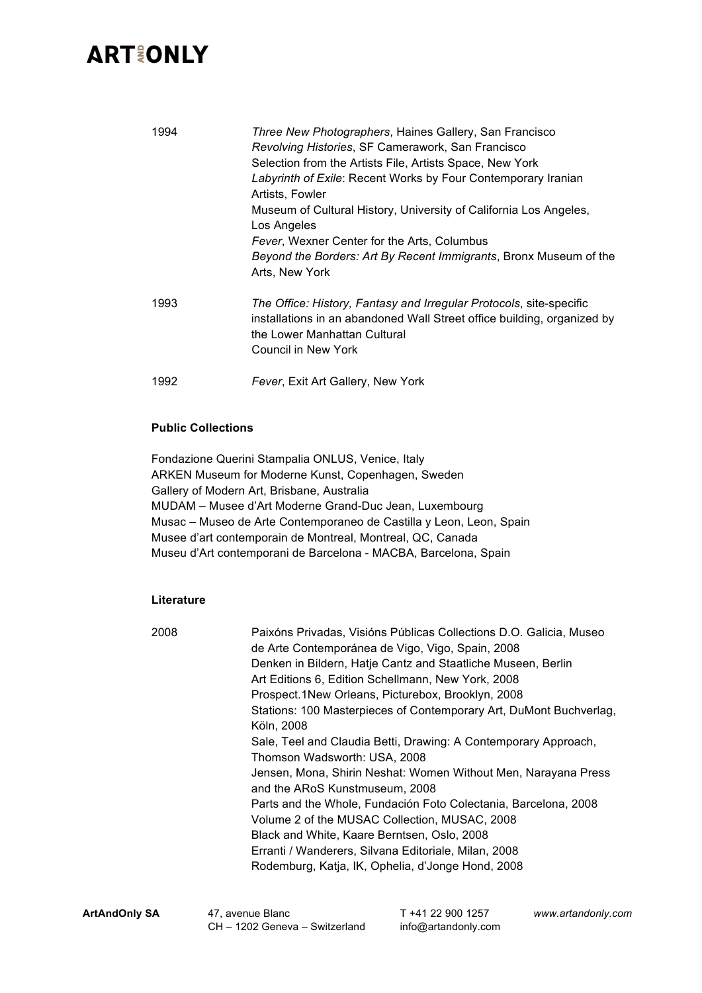# **ART&ONLY**

| 1994 | Three New Photographers, Haines Gallery, San Francisco<br>Revolving Histories, SF Camerawork, San Francisco<br>Selection from the Artists File, Artists Space, New York<br>Labyrinth of Exile: Recent Works by Four Contemporary Iranian<br>Artists, Fowler<br>Museum of Cultural History, University of California Los Angeles,<br>Los Angeles<br>Fever, Wexner Center for the Arts, Columbus<br>Beyond the Borders: Art By Recent Immigrants, Bronx Museum of the<br>Arts, New York |
|------|---------------------------------------------------------------------------------------------------------------------------------------------------------------------------------------------------------------------------------------------------------------------------------------------------------------------------------------------------------------------------------------------------------------------------------------------------------------------------------------|
| 1993 | The Office: History, Fantasy and Irregular Protocols, site-specific<br>installations in an abandoned Wall Street office building, organized by<br>the Lower Manhattan Cultural<br>Council in New York                                                                                                                                                                                                                                                                                 |
| 1992 | Fever, Exit Art Gallery, New York                                                                                                                                                                                                                                                                                                                                                                                                                                                     |

#### **Public Collections**

Fondazione Querini Stampalia ONLUS, Venice, Italy ARKEN Museum for Moderne Kunst, Copenhagen, Sweden Gallery of Modern Art, Brisbane, Australia MUDAM – Musee d'Art Moderne Grand-Duc Jean, Luxembourg Musac – Museo de Arte Contemporaneo de Castilla y Leon, Leon, Spain Musee d'art contemporain de Montreal, Montreal, QC, Canada Museu d'Art contemporani de Barcelona - MACBA, Barcelona, Spain

#### **Literature**

| 2008 | Paixóns Privadas, Visións Públicas Collections D.O. Galicia, Museo<br>de Arte Contemporánea de Vigo, Vigo, Spain, 2008 |
|------|------------------------------------------------------------------------------------------------------------------------|
|      | Denken in Bildern, Hatje Cantz and Staatliche Museen, Berlin                                                           |
|      | Art Editions 6, Edition Schellmann, New York, 2008                                                                     |
|      | Prospect.1New Orleans, Picturebox, Brooklyn, 2008                                                                      |
|      | Stations: 100 Masterpieces of Contemporary Art, DuMont Buchverlag,                                                     |
|      | Köln, 2008                                                                                                             |
|      | Sale, Teel and Claudia Betti, Drawing: A Contemporary Approach,                                                        |
|      | Thomson Wadsworth: USA, 2008                                                                                           |
|      | Jensen, Mona, Shirin Neshat: Women Without Men, Narayana Press                                                         |
|      | and the ARoS Kunstmuseum, 2008                                                                                         |
|      | Parts and the Whole, Fundación Foto Colectania, Barcelona, 2008                                                        |
|      | Volume 2 of the MUSAC Collection, MUSAC, 2008                                                                          |
|      | Black and White, Kaare Berntsen, Oslo, 2008                                                                            |
|      | Erranti / Wanderers, Silvana Editoriale, Milan, 2008                                                                   |
|      | Rodemburg, Katja, IK, Ophelia, d'Jonge Hond, 2008                                                                      |
|      |                                                                                                                        |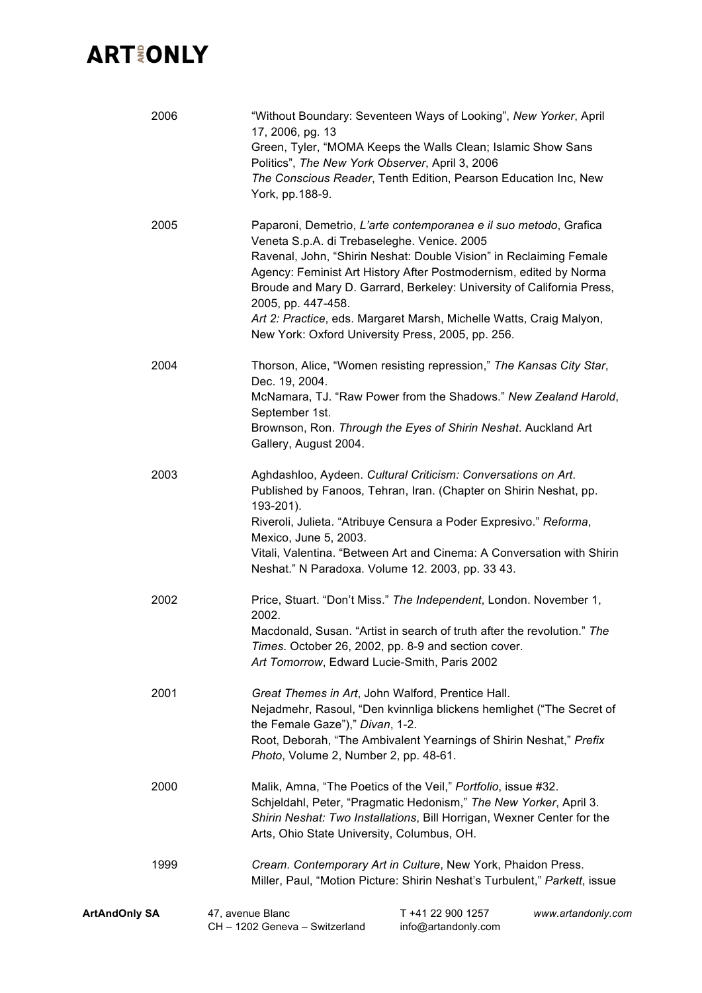| 2006                 | 17, 2006, pg. 13<br>Politics", The New York Observer, April 3, 2006                                                                                                                                                                                                         | "Without Boundary: Seventeen Ways of Looking", New Yorker, April<br>Green, Tyler, "MOMA Keeps the Walls Clean; Islamic Show Sans<br>The Conscious Reader, Tenth Edition, Pearson Education Inc, New                                                                                                                                                                                                               |                    |
|----------------------|-----------------------------------------------------------------------------------------------------------------------------------------------------------------------------------------------------------------------------------------------------------------------------|-------------------------------------------------------------------------------------------------------------------------------------------------------------------------------------------------------------------------------------------------------------------------------------------------------------------------------------------------------------------------------------------------------------------|--------------------|
|                      | York, pp.188-9.                                                                                                                                                                                                                                                             |                                                                                                                                                                                                                                                                                                                                                                                                                   |                    |
| 2005                 | Veneta S.p.A. di Trebaseleghe. Venice. 2005<br>2005, pp. 447-458.                                                                                                                                                                                                           | Paparoni, Demetrio, L'arte contemporanea e il suo metodo, Grafica<br>Ravenal, John, "Shirin Neshat: Double Vision" in Reclaiming Female<br>Agency: Feminist Art History After Postmodernism, edited by Norma<br>Broude and Mary D. Garrard, Berkeley: University of California Press,<br>Art 2: Practice, eds. Margaret Marsh, Michelle Watts, Craig Malyon,<br>New York: Oxford University Press, 2005, pp. 256. |                    |
| 2004                 | Dec. 19, 2004.<br>September 1st.<br>Gallery, August 2004.                                                                                                                                                                                                                   | Thorson, Alice, "Women resisting repression," The Kansas City Star,<br>McNamara, TJ. "Raw Power from the Shadows." New Zealand Harold,<br>Brownson, Ron. Through the Eyes of Shirin Neshat. Auckland Art                                                                                                                                                                                                          |                    |
| 2003                 | 193-201).<br>Mexico, June 5, 2003.                                                                                                                                                                                                                                          | Aghdashloo, Aydeen. Cultural Criticism: Conversations on Art.<br>Published by Fanoos, Tehran, Iran. (Chapter on Shirin Neshat, pp.<br>Riveroli, Julieta. "Atribuye Censura a Poder Expresivo." Reforma,<br>Vitali, Valentina. "Between Art and Cinema: A Conversation with Shirin<br>Neshat." N Paradoxa. Volume 12. 2003, pp. 33 43.                                                                             |                    |
| 2002                 | 2002.<br>Art Tomorrow, Edward Lucie-Smith, Paris 2002                                                                                                                                                                                                                       | Price, Stuart. "Don't Miss." The Independent, London. November 1,<br>Macdonald, Susan. "Artist in search of truth after the revolution." The<br>Times. October 26, 2002, pp. 8-9 and section cover.                                                                                                                                                                                                               |                    |
| 2001                 | Great Themes in Art, John Walford, Prentice Hall.<br>Nejadmehr, Rasoul, "Den kvinnliga blickens hemlighet ("The Secret of<br>the Female Gaze")," Divan, 1-2.<br>Root, Deborah, "The Ambivalent Yearnings of Shirin Neshat," Prefix<br>Photo, Volume 2, Number 2, pp. 48-61. |                                                                                                                                                                                                                                                                                                                                                                                                                   |                    |
| 2000                 | Malik, Amna, "The Poetics of the Veil," Portfolio, issue #32.<br>Schjeldahl, Peter, "Pragmatic Hedonism," The New Yorker, April 3.<br>Shirin Neshat: Two Installations, Bill Horrigan, Wexner Center for the<br>Arts, Ohio State University, Columbus, OH.                  |                                                                                                                                                                                                                                                                                                                                                                                                                   |                    |
| 1999                 |                                                                                                                                                                                                                                                                             | Cream. Contemporary Art in Culture, New York, Phaidon Press.<br>Miller, Paul, "Motion Picture: Shirin Neshat's Turbulent," Parkett, issue                                                                                                                                                                                                                                                                         |                    |
| <b>ArtAndOnly SA</b> | 47, avenue Blanc<br>CH - 1202 Geneva - Switzerland                                                                                                                                                                                                                          | T +41 22 900 1257<br>info@artandonly.com                                                                                                                                                                                                                                                                                                                                                                          | www.artandonly.com |